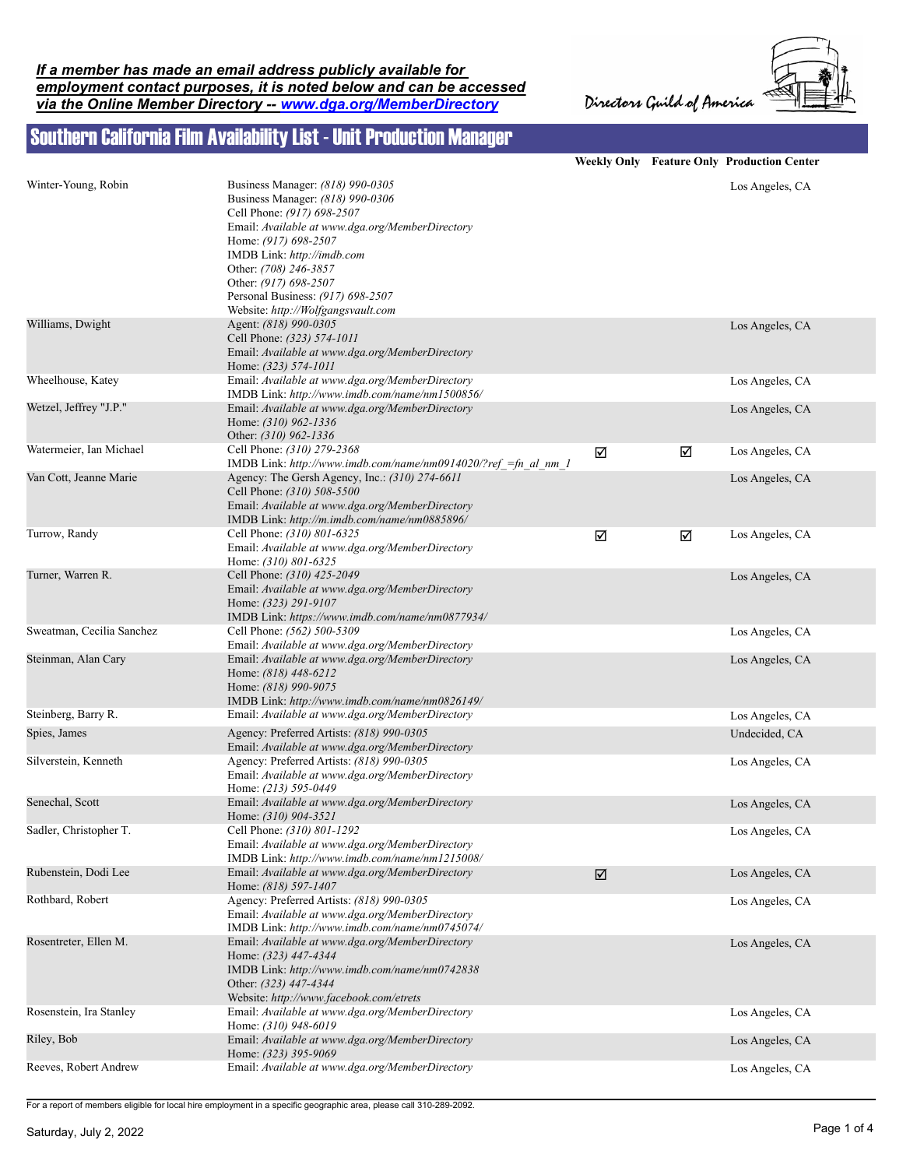Directors Guild of America



## Southern California Film Availability List - Unit Production Manager

|                           |                                                                                                                                                                                                                                                                                                                                          |   |   | Weekly Only Feature Only Production Center |
|---------------------------|------------------------------------------------------------------------------------------------------------------------------------------------------------------------------------------------------------------------------------------------------------------------------------------------------------------------------------------|---|---|--------------------------------------------|
| Winter-Young, Robin       | Business Manager: (818) 990-0305<br>Business Manager: (818) 990-0306<br>Cell Phone: (917) 698-2507<br>Email: Available at www.dga.org/MemberDirectory<br>Home: (917) 698-2507<br>IMDB Link: http://imdb.com<br>Other: (708) 246-3857<br>Other: (917) 698-2507<br>Personal Business: (917) 698-2507<br>Website: http://Wolfgangsvault.com |   |   | Los Angeles, CA                            |
| Williams, Dwight          | Agent: (818) 990-0305<br>Cell Phone: (323) 574-1011<br>Email: Available at www.dga.org/MemberDirectory<br>Home: (323) 574-1011                                                                                                                                                                                                           |   |   | Los Angeles, CA                            |
| Wheelhouse, Katey         | Email: Available at www.dga.org/MemberDirectory<br>IMDB Link: http://www.imdb.com/name/nm1500856/                                                                                                                                                                                                                                        |   |   | Los Angeles, CA                            |
| Wetzel, Jeffrey "J.P."    | Email: Available at www.dga.org/MemberDirectory<br>Home: (310) 962-1336<br>Other: (310) 962-1336                                                                                                                                                                                                                                         |   |   | Los Angeles, CA                            |
| Watermeier, Ian Michael   | Cell Phone: (310) 279-2368<br>IMDB Link: http://www.imdb.com/name/nm0914020/?ref =fn al nm 1                                                                                                                                                                                                                                             | ☑ | ☑ | Los Angeles, CA                            |
| Van Cott, Jeanne Marie    | Agency: The Gersh Agency, Inc.: (310) 274-6611<br>Cell Phone: (310) 508-5500<br>Email: Available at www.dga.org/MemberDirectory<br>IMDB Link: http://m.imdb.com/name/nm0885896/                                                                                                                                                          |   |   | Los Angeles, CA                            |
| Turrow, Randy             | Cell Phone: (310) 801-6325<br>Email: Available at www.dga.org/MemberDirectory<br>Home: (310) 801-6325                                                                                                                                                                                                                                    | ☑ | ☑ | Los Angeles, CA                            |
| Turner, Warren R.         | Cell Phone: (310) 425-2049<br>Email: Available at www.dga.org/MemberDirectory<br>Home: (323) 291-9107<br>IMDB Link: https://www.imdb.com/name/nm0877934/                                                                                                                                                                                 |   |   | Los Angeles, CA                            |
| Sweatman, Cecilia Sanchez | Cell Phone: (562) 500-5309<br>Email: Available at www.dga.org/MemberDirectory                                                                                                                                                                                                                                                            |   |   | Los Angeles, CA                            |
| Steinman, Alan Cary       | Email: Available at www.dga.org/MemberDirectory<br>Home: (818) 448-6212<br>Home: (818) 990-9075<br>IMDB Link: http://www.imdb.com/name/nm0826149/                                                                                                                                                                                        |   |   | Los Angeles, CA                            |
| Steinberg, Barry R.       | Email: Available at www.dga.org/MemberDirectory                                                                                                                                                                                                                                                                                          |   |   | Los Angeles, CA                            |
| Spies, James              | Agency: Preferred Artists: (818) 990-0305<br>Email: Available at www.dga.org/MemberDirectory                                                                                                                                                                                                                                             |   |   | Undecided, CA                              |
| Silverstein, Kenneth      | Agency: Preferred Artists: (818) 990-0305<br>Email: Available at www.dga.org/MemberDirectory<br>Home: (213) 595-0449                                                                                                                                                                                                                     |   |   | Los Angeles, CA                            |
| Senechal, Scott           | Email: Available at www.dga.org/MemberDirectory<br>Home: (310) 904-3521                                                                                                                                                                                                                                                                  |   |   | Los Angeles, CA                            |
| Sadler, Christopher T.    | Cell Phone: (310) 801-1292<br>Email: Available at www.dga.org/MemberDirectory<br>IMDB Link: http://www.imdb.com/name/nm1215008/                                                                                                                                                                                                          |   |   | Los Angeles, CA                            |
| Rubenstein, Dodi Lee      | Email: Available at www.dga.org/MemberDirectory<br>Home: (818) 597-1407                                                                                                                                                                                                                                                                  | ☑ |   | Los Angeles, CA                            |
| Rothbard, Robert          | Agency: Preferred Artists: (818) 990-0305<br>Email: Available at www.dga.org/MemberDirectory<br>IMDB Link: http://www.imdb.com/name/nm0745074/                                                                                                                                                                                           |   |   | Los Angeles, CA                            |
| Rosentreter, Ellen M.     | Email: Available at www.dga.org/MemberDirectory<br>Home: (323) 447-4344<br>IMDB Link: http://www.imdb.com/name/nm0742838<br>Other: (323) 447-4344<br>Website: http://www.facebook.com/etrets                                                                                                                                             |   |   | Los Angeles, CA                            |
| Rosenstein, Ira Stanley   | Email: Available at www.dga.org/MemberDirectory<br>Home: (310) 948-6019                                                                                                                                                                                                                                                                  |   |   | Los Angeles, CA                            |
| Riley, Bob                | Email: Available at www.dga.org/MemberDirectory<br>Home: (323) 395-9069                                                                                                                                                                                                                                                                  |   |   | Los Angeles, CA                            |
| Reeves, Robert Andrew     | Email: Available at www.dga.org/MemberDirectory                                                                                                                                                                                                                                                                                          |   |   | Los Angeles, CA                            |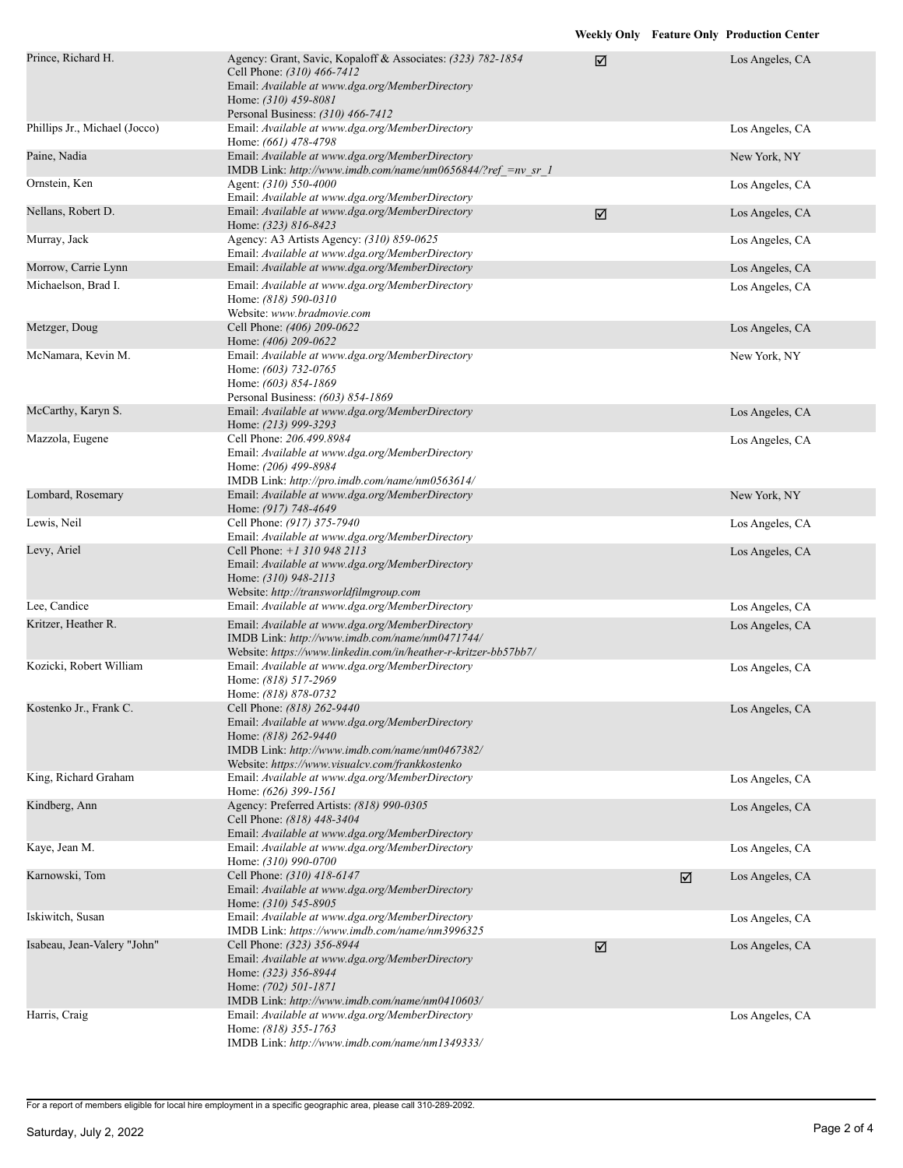| Prince, Richard H.            | Agency: Grant, Savic, Kopaloff & Associates: (323) 782-1854<br>Cell Phone: (310) 466-7412<br>Email: Available at www.dga.org/MemberDirectory<br>Home: (310) 459-8081<br>Personal Business: (310) 466-7412  | ☑ |   | Los Angeles, CA |
|-------------------------------|------------------------------------------------------------------------------------------------------------------------------------------------------------------------------------------------------------|---|---|-----------------|
| Phillips Jr., Michael (Jocco) | Email: Available at www.dga.org/MemberDirectory<br>Home: (661) 478-4798                                                                                                                                    |   |   | Los Angeles, CA |
| Paine, Nadia                  | Email: Available at www.dga.org/MemberDirectory<br>IMDB Link: http://www.imdb.com/name/nm0656844/?ref =nv sr 1                                                                                             |   |   | New York, NY    |
| Ornstein, Ken                 | Agent: (310) 550-4000<br>Email: Available at www.dga.org/MemberDirectory                                                                                                                                   |   |   | Los Angeles, CA |
| Nellans, Robert D.            | Email: Available at www.dga.org/MemberDirectory<br>Home: (323) 816-8423                                                                                                                                    | ☑ |   | Los Angeles, CA |
| Murray, Jack                  | Agency: A3 Artists Agency: (310) 859-0625<br>Email: Available at www.dga.org/MemberDirectory                                                                                                               |   |   | Los Angeles, CA |
| Morrow, Carrie Lynn           | Email: Available at www.dga.org/MemberDirectory                                                                                                                                                            |   |   | Los Angeles, CA |
| Michaelson, Brad I.           | Email: Available at www.dga.org/MemberDirectory<br>Home: (818) 590-0310<br>Website: www.bradmovie.com                                                                                                      |   |   | Los Angeles, CA |
| Metzger, Doug                 | Cell Phone: (406) 209-0622<br>Home: (406) 209-0622                                                                                                                                                         |   |   | Los Angeles, CA |
| McNamara, Kevin M.            | Email: Available at www.dga.org/MemberDirectory<br>Home: (603) 732-0765<br>Home: (603) 854-1869<br>Personal Business: (603) 854-1869                                                                       |   |   | New York, NY    |
| McCarthy, Karyn S.            | Email: Available at www.dga.org/MemberDirectory<br>Home: (213) 999-3293                                                                                                                                    |   |   | Los Angeles, CA |
| Mazzola, Eugene               | Cell Phone: 206.499.8984<br>Email: Available at www.dga.org/MemberDirectory<br>Home: (206) 499-8984<br>IMDB Link: http://pro.imdb.com/name/nm0563614/                                                      |   |   | Los Angeles, CA |
| Lombard, Rosemary             | Email: Available at www.dga.org/MemberDirectory<br>Home: (917) 748-4649                                                                                                                                    |   |   | New York, NY    |
| Lewis, Neil                   | Cell Phone: (917) 375-7940<br>Email: Available at www.dga.org/MemberDirectory                                                                                                                              |   |   | Los Angeles, CA |
| Levy, Ariel                   | Cell Phone: +1 310 948 2113<br>Email: Available at www.dga.org/MemberDirectory<br>Home: (310) 948-2113<br>Website: http://transworldfilmgroup.com                                                          |   |   | Los Angeles, CA |
| Lee, Candice                  | Email: Available at www.dga.org/MemberDirectory                                                                                                                                                            |   |   | Los Angeles, CA |
| Kritzer, Heather R.           | Email: Available at www.dga.org/MemberDirectory<br>IMDB Link: http://www.imdb.com/name/nm0471744/<br>Website: https://www.linkedin.com/in/heather-r-kritzer-bb57bb7/                                       |   |   | Los Angeles, CA |
| Kozicki, Robert William       | Email: Available at www.dga.org/MemberDirectory<br>Home: (818) 517-2969<br>Home: (818) 878-0732                                                                                                            |   |   | Los Angeles, CA |
| Kostenko Jr., Frank C.        | Cell Phone: (818) 262-9440<br>Email: Available at www.dga.org/MemberDirectory<br>Home: (818) 262-9440<br>IMDB Link: http://www.imdb.com/name/nm0467382/<br>Website: https://www.visualcv.com/frankkostenko |   |   | Los Angeles, CA |
| King, Richard Graham          | Email: Available at www.dga.org/MemberDirectory<br>Home: (626) 399-1561                                                                                                                                    |   |   | Los Angeles, CA |
| Kindberg, Ann                 | Agency: Preferred Artists: (818) 990-0305<br>Cell Phone: (818) 448-3404<br>Email: Available at www.dga.org/MemberDirectory                                                                                 |   |   | Los Angeles, CA |
| Kaye, Jean M.                 | Email: Available at www.dga.org/MemberDirectory<br>Home: (310) 990-0700                                                                                                                                    |   |   | Los Angeles, CA |
| Karnowski, Tom                | Cell Phone: (310) 418-6147<br>Email: Available at www.dga.org/MemberDirectory<br>Home: $(310)$ 545-8905                                                                                                    |   | ☑ | Los Angeles, CA |
| Iskiwitch, Susan              | Email: Available at www.dga.org/MemberDirectory<br>IMDB Link: https://www.imdb.com/name/nm3996325                                                                                                          |   |   | Los Angeles, CA |
| Isabeau, Jean-Valery "John"   | Cell Phone: (323) 356-8944<br>Email: Available at www.dga.org/MemberDirectory<br>Home: (323) 356-8944<br>Home: (702) 501-1871<br>IMDB Link: http://www.imdb.com/name/nm0410603/                            | ☑ |   | Los Angeles, CA |
| Harris, Craig                 | Email: Available at www.dga.org/MemberDirectory                                                                                                                                                            |   |   | Los Angeles, CA |
|                               | Home: (818) 355-1763<br>IMDB Link: http://www.imdb.com/name/nm1349333/                                                                                                                                     |   |   |                 |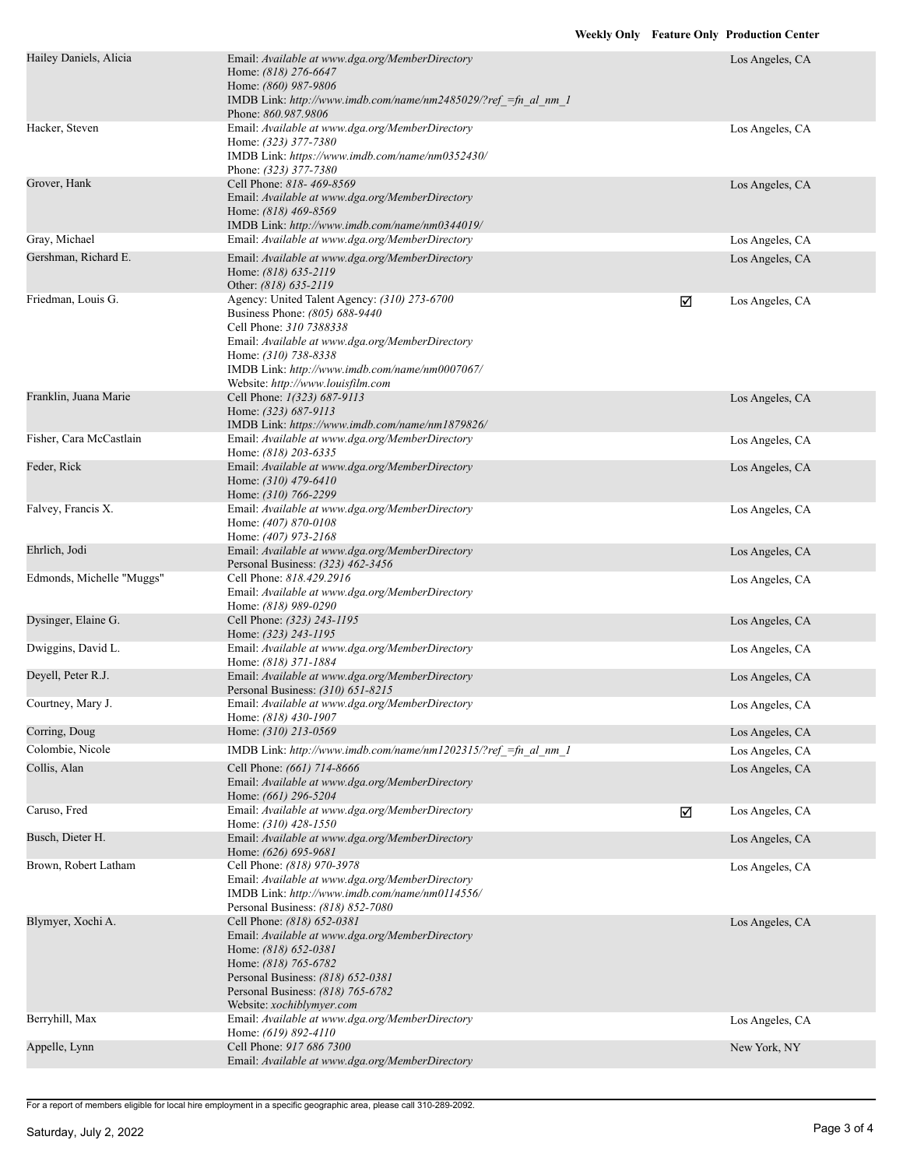| Hailey Daniels, Alicia    | Email: Available at www.dga.org/MemberDirectory<br>Home: (818) 276-6647<br>Home: (860) 987-9806<br>IMDB Link: http://www.imdb.com/name/nm2485029/?ref =fn al nm 1<br>Phone: 860.987.9806                                                                                    |   | Los Angeles, CA |
|---------------------------|-----------------------------------------------------------------------------------------------------------------------------------------------------------------------------------------------------------------------------------------------------------------------------|---|-----------------|
| Hacker, Steven            | Email: Available at www.dga.org/MemberDirectory<br>Home: (323) 377-7380<br>IMDB Link: https://www.imdb.com/name/nm0352430/<br>Phone: (323) 377-7380                                                                                                                         |   | Los Angeles, CA |
| Grover, Hank              | Cell Phone: 818-469-8569<br>Email: Available at www.dga.org/MemberDirectory<br>Home: (818) 469-8569<br>IMDB Link: http://www.imdb.com/name/nm0344019/                                                                                                                       |   | Los Angeles, CA |
| Gray, Michael             | Email: Available at www.dga.org/MemberDirectory                                                                                                                                                                                                                             |   | Los Angeles, CA |
| Gershman, Richard E.      | Email: Available at www.dga.org/MemberDirectory<br>Home: (818) 635-2119<br>Other: (818) 635-2119                                                                                                                                                                            |   | Los Angeles, CA |
| Friedman, Louis G.        | Agency: United Talent Agency: (310) 273-6700<br>Business Phone: (805) 688-9440<br>Cell Phone: 310 7388338<br>Email: Available at www.dga.org/MemberDirectory<br>Home: (310) 738-8338<br>IMDB Link: http://www.imdb.com/name/nm0007067/<br>Website: http://www.louisfilm.com | ☑ | Los Angeles, CA |
| Franklin, Juana Marie     | Cell Phone: 1(323) 687-9113<br>Home: (323) 687-9113<br>IMDB Link: https://www.imdb.com/name/nm1879826/                                                                                                                                                                      |   | Los Angeles, CA |
| Fisher, Cara McCastlain   | Email: Available at www.dga.org/MemberDirectory<br>Home: (818) 203-6335                                                                                                                                                                                                     |   | Los Angeles, CA |
| Feder, Rick               | Email: Available at www.dga.org/MemberDirectory<br>Home: (310) 479-6410<br>Home: (310) 766-2299                                                                                                                                                                             |   | Los Angeles, CA |
| Falvey, Francis X.        | Email: Available at www.dga.org/MemberDirectory<br>Home: (407) 870-0108<br>Home: (407) 973-2168                                                                                                                                                                             |   | Los Angeles, CA |
| Ehrlich, Jodi             | Email: Available at www.dga.org/MemberDirectory<br>Personal Business: (323) 462-3456                                                                                                                                                                                        |   | Los Angeles, CA |
| Edmonds, Michelle "Muggs" | Cell Phone: 818.429.2916<br>Email: Available at www.dga.org/MemberDirectory<br>Home: (818) 989-0290                                                                                                                                                                         |   | Los Angeles, CA |
| Dysinger, Elaine G.       | Cell Phone: (323) 243-1195<br>Home: (323) 243-1195                                                                                                                                                                                                                          |   | Los Angeles, CA |
| Dwiggins, David L.        | Email: Available at www.dga.org/MemberDirectory<br>Home: (818) 371-1884                                                                                                                                                                                                     |   | Los Angeles, CA |
| Deyell, Peter R.J.        | Email: Available at www.dga.org/MemberDirectory<br>Personal Business: (310) 651-8215                                                                                                                                                                                        |   | Los Angeles, CA |
| Courtney, Mary J.         | Email: Available at www.dga.org/MemberDirectory<br>Home: (818) 430-1907                                                                                                                                                                                                     |   | Los Angeles, CA |
| Corring, Doug             | Home: (310) 213-0569                                                                                                                                                                                                                                                        |   | Los Angeles, CA |
| Colombie, Nicole          | IMDB Link: http://www.imdb.com/name/nm1202315/?ref =fn al nm 1                                                                                                                                                                                                              |   | Los Angeles, CA |
| Collis, Alan              | Cell Phone: (661) 714-8666<br>Email: Available at www.dga.org/MemberDirectory<br>Home: (661) 296-5204                                                                                                                                                                       |   | Los Angeles, CA |
| Caruso, Fred              | Email: Available at www.dga.org/MemberDirectory<br>Home: (310) 428-1550                                                                                                                                                                                                     | ☑ | Los Angeles, CA |
| Busch, Dieter H.          | Email: Available at www.dga.org/MemberDirectory<br>Home: (626) 695-9681                                                                                                                                                                                                     |   | Los Angeles, CA |
| Brown, Robert Latham      | Cell Phone: (818) 970-3978<br>Email: Available at www.dga.org/MemberDirectory<br>IMDB Link: http://www.imdb.com/name/nm0114556/<br>Personal Business: (818) 852-7080                                                                                                        |   | Los Angeles, CA |
| Blymyer, Xochi A.         | Cell Phone: (818) 652-0381<br>Email: Available at www.dga.org/MemberDirectory<br>Home: (818) 652-0381<br>Home: (818) 765-6782<br>Personal Business: (818) 652-0381<br>Personal Business: (818) 765-6782<br>Website: xochiblymyer.com                                        |   | Los Angeles, CA |
| Berryhill, Max            | Email: Available at www.dga.org/MemberDirectory<br>Home: (619) 892-4110                                                                                                                                                                                                     |   | Los Angeles, CA |
| Appelle, Lynn             | Cell Phone: 917 686 7300<br>Email: Available at www.dga.org/MemberDirectory                                                                                                                                                                                                 |   | New York, NY    |